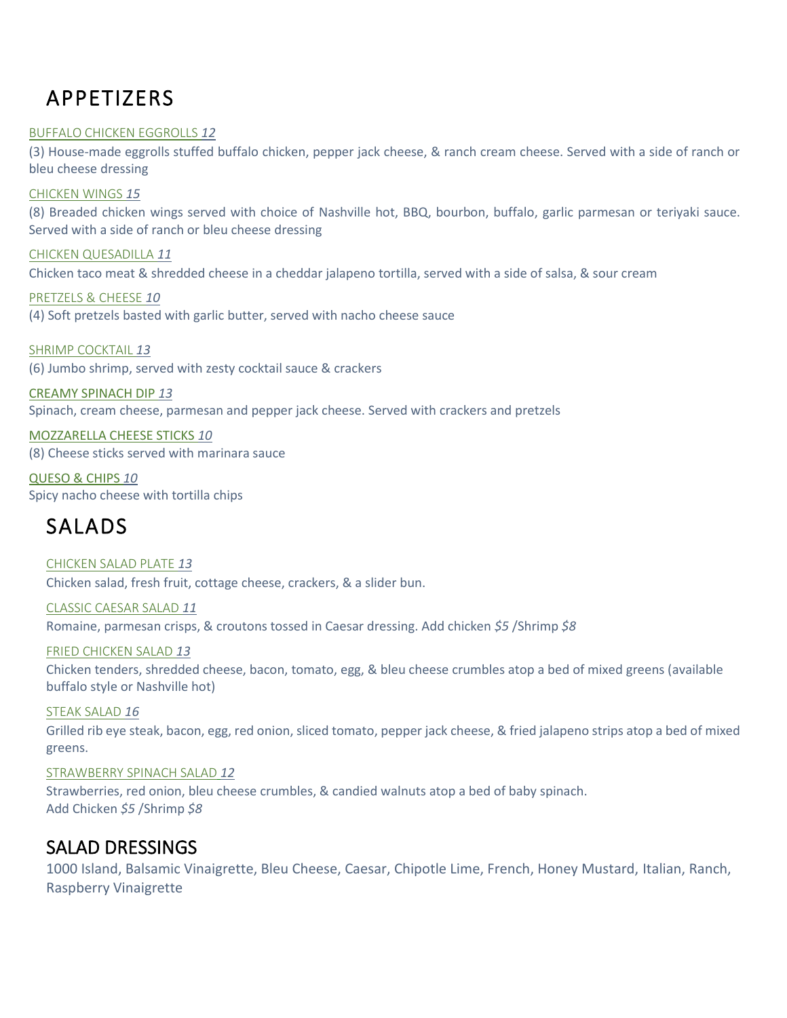# APPETIZERS

#### BUFFALO CHICKEN EGGROLLS *12*

(3) House-made eggrolls stuffed buffalo chicken, pepper jack cheese, & ranch cream cheese. Served with a side of ranch or bleu cheese dressing

#### CHICKEN WINGS *15*

(8) Breaded chicken wings served with choice of Nashville hot, BBQ, bourbon, buffalo, garlic parmesan or teriyaki sauce. Served with a side of ranch or bleu cheese dressing

CHICKEN QUESADILLA *11* Chicken taco meat & shredded cheese in a cheddar jalapeno tortilla, served with a side of salsa, & sour cream

PRETZELS & CHEESE *10* (4) Soft pretzels basted with garlic butter, served with nacho cheese sauce

SHRIMP COCKTAIL *13* (6) Jumbo shrimp, served with zesty cocktail sauce & crackers

CREAMY SPINACH DIP *13* Spinach, cream cheese, parmesan and pepper jack cheese. Served with crackers and pretzels

MOZZARELLA CHEESE STICKS *10* (8) Cheese sticks served with marinara sauce

QUESO & CHIPS *10* Spicy nacho cheese with tortilla chips

## SALADS

CHICKEN SALAD PLATE *13* Chicken salad, fresh fruit, cottage cheese, crackers, & a slider bun.

CLASSIC CAESAR SALAD *11* Romaine, parmesan crisps, & croutons tossed in Caesar dressing. Add chicken *\$5* /Shrimp *\$8*

FRIED CHICKEN SALAD *13* Chicken tenders, shredded cheese, bacon, tomato, egg, & bleu cheese crumbles atop a bed of mixed greens (available buffalo style or Nashville hot)

STEAK SALAD *16* Grilled rib eye steak, bacon, egg, red onion, sliced tomato, pepper jack cheese, & fried jalapeno strips atop a bed of mixed greens.

#### STRAWBERRY SPINACH SALAD *12*

Strawberries, red onion, bleu cheese crumbles, & candied walnuts atop a bed of baby spinach. Add Chicken *\$5* /Shrimp *\$8*

### SALAD DRESSINGS

1000 Island, Balsamic Vinaigrette, Bleu Cheese, Caesar, Chipotle Lime, French, Honey Mustard, Italian, Ranch, Raspberry Vinaigrette